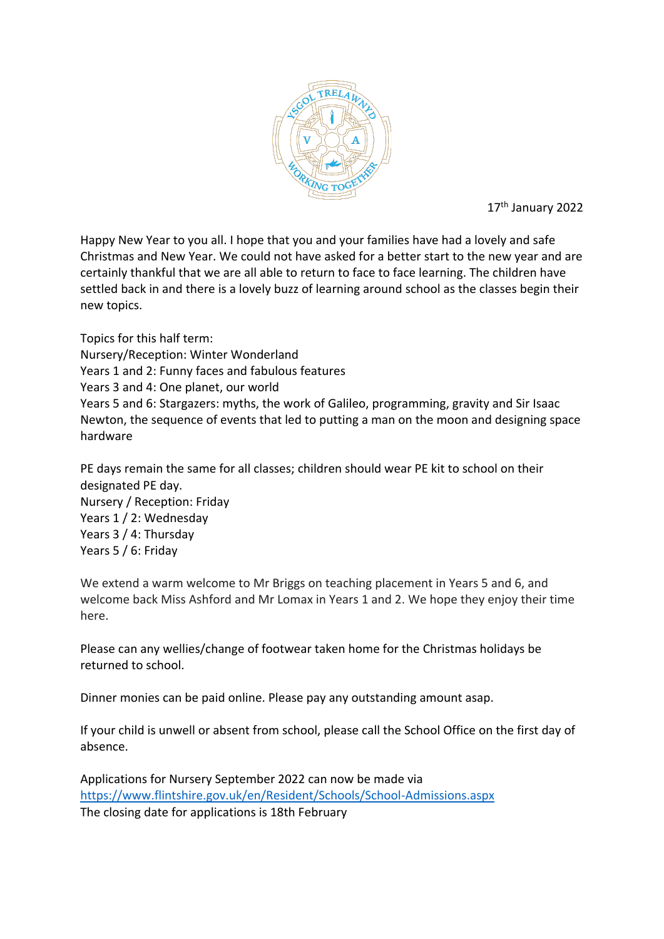

17<sup>th</sup> January 2022

Happy New Year to you all. I hope that you and your families have had a lovely and safe Christmas and New Year. We could not have asked for a better start to the new year and are certainly thankful that we are all able to return to face to face learning. The children have settled back in and there is a lovely buzz of learning around school as the classes begin their new topics.

Topics for this half term: Nursery/Reception: Winter Wonderland Years 1 and 2: Funny faces and fabulous features Years 3 and 4: One planet, our world Years 5 and 6: Stargazers: myths, the work of Galileo, programming, gravity and Sir Isaac Newton, the sequence of events that led to putting a man on the moon and designing space hardware

PE days remain the same for all classes; children should wear PE kit to school on their designated PE day. Nursery / Reception: Friday Years 1 / 2: Wednesday Years 3 / 4: Thursday Years 5 / 6: Friday

We extend a warm welcome to Mr Briggs on teaching placement in Years 5 and 6, and welcome back Miss Ashford and Mr Lomax in Years 1 and 2. We hope they enjoy their time here.

Please can any wellies/change of footwear taken home for the Christmas holidays be returned to school.

Dinner monies can be paid online. Please pay any outstanding amount asap.

If your child is unwell or absent from school, please call the School Office on the first day of absence.

Applications for Nursery September 2022 can now be made via <https://www.flintshire.gov.uk/en/Resident/Schools/School-Admissions.aspx> The closing date for applications is 18th February